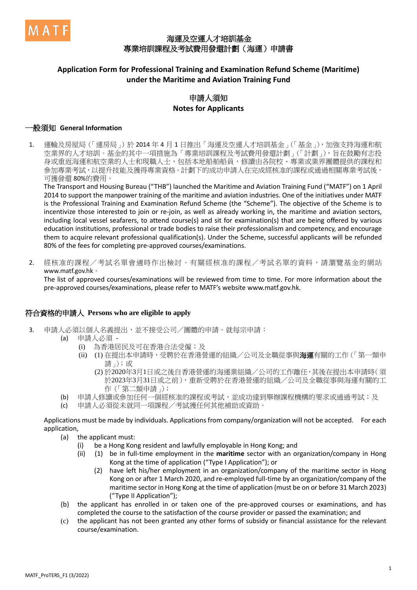

## 海運及空運人才培訓基金 專業培訓課程及考試費用發還計劃(海運)申請書

## **Application Form for Professional Training and Examination Refund Scheme (Maritime) under the Maritime and Aviation Training Fund**

## 申請人須知 **Notes for Applicants**

#### 一般須知 **General Information**

1. 運輸及房屋局(「運房局」)於 2014 年 4 月 1 日推出「海運及空運人才培訓基金」(「基金」),加強支持海運和航 空業界的人才培訓。基金的其中一項措施為「專業培訓課程及考試費用發還計劃」(「計劃」),旨在鼓勵有志投 身或重返海運和航空業的人士和現職人士,包括本地船舶船員,修讀由各院校、專業或業界團體提供的課程和 參加專業考試,以提升技能及獲得專業資格。計劃下的成功申請人在完成經核准的課程或通過相關專業考試後, 可獲發還 80%的費用。

The Transport and Housing Bureau ("THB") launched the Maritime and Aviation Training Fund ("MATF") on 1 April 2014 to support the manpower training of the maritime and aviation industries. One of the initiatives under MATF is the Professional Training and Examination Refund Scheme (the "Scheme"). The objective of the Scheme is to incentivize those interested to join or re-join, as well as already working in, the maritime and aviation sectors, including local vessel seafarers, to attend course(s) and sit for examination(s) that are being offered by various education institutions, professional or trade bodies to raise their professionalism and competency, and encourage them to acquire relevant professional qualification(s). Under the Scheme, successful applicants will be refunded 80% of the fees for completing pre-approved courses/examinations.

2. 經核准的課程/考試名單會適時作出檢討。有關經核准的課程/考試名單的資料,請瀏覽基金的網站 www.matf.gov.hk。

The list of approved courses/examinations will be reviewed from time to time. For more information about the pre-approved courses/examinations, please refer to MATF's website www.matf.gov.hk.

#### 符合資格的申請人 **Persons who are eligible to apply**

- 3. 申請人必須以個人名義提出,並不接受公司/團體的申請。就每宗申請:
	- (a) 申請人必須
		- (i) 為香港居民及可在香港合法受僱;及
		- (ii) (1) 在提出本申請時, 受聘於在香港營運的組織/公司及全職從事與海運有關的工作(「第一類申 請」);或
			- (2) 於2020年3月1日或之後自香港營運的海運業組織/公司的工作離任,其後在提出本申請時(須 於2023年3月31日或之前),重新受聘於在香港營運的組織/公司及全職從事與海運有關的工 作(「第二類申請」);
	- (b) 申請人修讀或參加任何一個經核准的課程或考試,並成功達到舉辦課程機構的要求或通過考試;及
	- (c) 申請人必須從未就同一項課程/考試獲任何其他補助或資助。

Applications must be made by individuals. Applications from company/organization will not be accepted. For each application,

- (a) the applicant must:
	- (i) be a Hong Kong resident and lawfully employable in Hong Kong; and
	- (ii) (1) be in full-time employment in the **maritime** sector with an organization/company in Hong Kong at the time of application ("Type I Application"); or
		- (2) have left his/her employment in an organization/company of the maritime sector in Hong Kong on or after 1 March 2020, and re-employed full-time by an organization/company of the maritime sector in Hong Kong at the time of application (must be on or before 31 March 2023) ("Type II Application");
- (b) the applicant has enrolled in or taken one of the pre-approved courses or examinations, and has completed the course to the satisfaction of the course provider or passed the examination; and
- (c) the applicant has not been granted any other forms of subsidy or financial assistance for the relevant course/examination.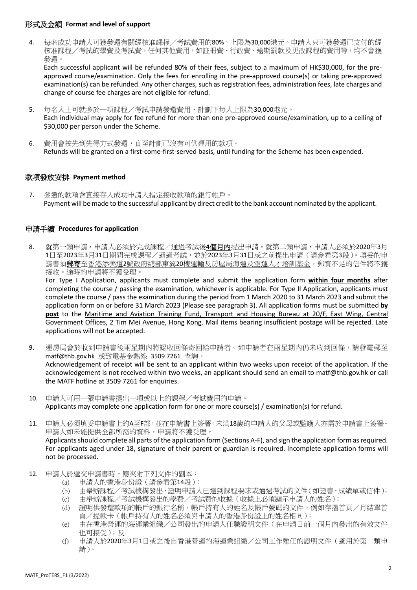#### 形式及金額 **Format and level of support**

4. 每名成功申請人可獲發還有關經核准課程/考試費用的80%,上限為30,000港元。申請人只可獲發還已支付的經 核准課程/考試的學費及考試費,任何其他費用,如註冊費、行政費、逾期罰款及更改課程的費用等,均不會獲 發還。

Each successful applicant will be refunded 80% of their fees, subject to a maximum of HK\$30,000, for the preapproved course/examination. Only the fees for enrolling in the pre-approved course(s) or taking pre-approved examination(s) can be refunded. Any other charges, such as registration fees, administration fees, late charges and change of course fee charges are not eligible for refund.

- 5. 每名人士可就多於一項課程/考試申請發還費用,計劃下每人上限為30,000港元。 Each individual may apply for fee refund for more than one pre-approved course/examination, up to a ceiling of \$30,000 per person under the Scheme.
- 6. 費用會按先到先得方式發還,直至計劃已沒有可供運用的款項。 Refunds will be granted on a first-come-first-served basis, until funding for the Scheme has been expended.

#### 款項發放安排 **Payment method**

7. 發還的款項會直接存入成功申請人指定接收款項的銀行帳戶。 Payment will be made to the successful applicant by direct credit to the bank account nominated by the applicant.

#### 申請手續 **Procedures for application**

8. 就第一類申請,申請人必須於完成課程/通過考試後**4**個月內提出申請。就第二類申請,申請人必須於2020年3月 1日至2023年3月31日期間完成課程/通過考試,並於2023年3月31日或之前提出申請(請參看第3段)。填妥的申 請書須**郵寄**至香港添美道2號政府總部東翼20樓運輸及房屋局海運及空運人才培訓基金。郵資不足的信件將不獲 接收。逾時的申請將不獲受理。

For Type I Application, applicants must complete and submit the application form **within four months** after completing the course / passing the examination, whichever is applicable. For Type II Application, applicants must complete the course / pass the examination during the period from 1 March 2020 to 31 March 2023 and submit the application form on or before 31 March 2023 (Please see paragraph 3). All application forms must be submitted **by post** to the Maritime and Aviation Training Fund, Transport and Housing Bureau at 20/F, East Wing, Central Government Offices, 2 Tim Mei Avenue, Hong Kong. Mail items bearing insufficient postage will be rejected. Late applications will not be accepted.

- 9. 運房局會於收到申請書後兩星期內將認收回條寄回給申請者。如申請者在兩星期內仍未收到回條,請發電郵至 matf@thb.gov.hk 或致電基金熱線 3509 7261 查詢。 Acknowledgement of receipt will be sent to an applicant within two weeks upon receipt of the application. If the acknowledgement is not received within two weeks, an applicant should send an email to matf@thb.gov.hk or call the MATF hotline at 3509 7261 for enquiries.
- 10. 申請人可用一張申請書提出一項或以上的課程/考試費用的申請。 Applicants may complete one application form for one or more course(s) / examination(s) for refund.
- 11. 申請人必須填妥申請書上的A至F部,並在申請書上簽署。未滿18歲的申請人的父母或監護人亦需於申請書上簽署。 申請人如未能提供全部所需的資料,申請將不獲受理。 Applicants should complete all parts of the application form (Sections A-F), and sign the application form as required. For applicants aged under 18, signature of their parent or guardian is required. Incomplete application forms will not be processed.
- 12. 申請人於遞交申請書時,應夾附下列文件的副本:
	- (a) 申請人的香港身份證(請參看第14段);
	- (b) 由舉辦課程/考試機構發出,證明申請人已達到課程要求或通過考試的文件(如證書、成績單或信件);
	- (c) 由舉辦課程/考試機構發出的學費/考試費的收據(收據上必須顯示申請人的姓名);
	- (d) 證明供發還款項的帳戶的銀行名稱,帳戶持有人的姓名及帳戶號碼的文件,例如存摺首頁/月結單首 頁/提款卡(帳戶持有人的姓名必須與申請人的香港身份證上的姓名相同);
	- (e) 由在香港營運的海運業組織/公司發出的申請人任職證明文件(在申請日前一個月內發出的有效文件 也可接受);及
	- (f) 申請人於2020年3月1日或之後自香港營運的海運業組織/公司工作離任的證明文件(適用於第二類申 請)。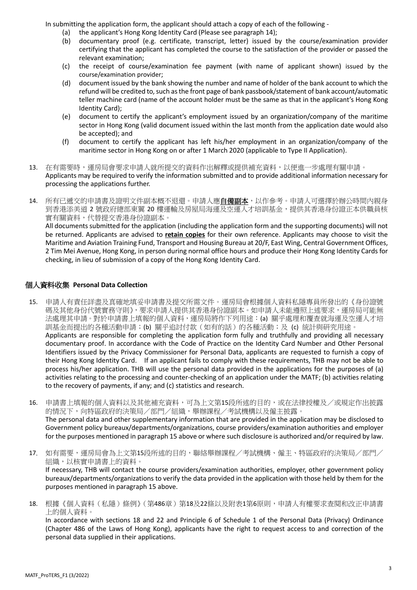In submitting the application form, the applicant should attach a copy of each of the following -

- (a) the applicant's Hong Kong Identity Card (Please see paragraph 14);
- (b) documentary proof (e.g. certificate, transcript, letter) issued by the course/examination provider certifying that the applicant has completed the course to the satisfaction of the provider or passed the relevant examination;
- (c) the receipt of course/examination fee payment (with name of applicant shown) issued by the course/examination provider;
- (d) document issued by the bank showing the number and name of holder of the bank account to which the refund will be credited to, such as the front page of bank passbook/statement of bank account/automatic teller machine card (name of the account holder must be the same as that in the applicant's Hong Kong Identity Card);
- (e) document to certify the applicant's employment issued by an organization/company of the maritime sector in Hong Kong (valid document issued within the last month from the application date would also be accepted); and
- (f) document to certify the applicant has left his/her employment in an organization/company of the maritime sector in Hong Kong on or after 1 March 2020 (applicable to Type II Application).
- 13. 在有需要時,運房局會要求申請人就所提交的資料作出解釋或提供補充資料,以便進一步處理有關申請。 Applicants may be required to verify the information submitted and to provide additional information necessary for processing the applications further.
- 14. 所有已遞交的申請書及證明文件副本概不退還。申請人應<u>自**備副本**,以作參考。申請人可選擇於辦公時間內親</u>身 到香港添美道 2 號政府總部東翼 20 樓運輸及房屋局海運及空運人才培訓基金,提供其香港身份證正本供職員核 實有關資料,代替提交香港身份證副本。

All documents submitted for the application (including the application form and the supporting documents) will not be returned. Applicants are advised to **retain copies** for their own reference. Applicants may choose to visit the Maritime and Aviation Training Fund, Transport and Housing Bureau at 20/F, East Wing, Central Government Offices, 2 Tim Mei Avenue, Hong Kong, in person during normal office hours and produce their Hong Kong Identity Cards for checking, in lieu of submission of a copy of the Hong Kong Identity Card.

#### 個人資料收集 **Personal Data Collection**

- 15. 申請人有責任詳盡及真確地填妥申請書及提交所需文件。運房局會根據個人資料私隱專員所發出的《身份證號 碼及其他身份代號實務守則》,要求申請人提供其香港身份證副本。如申請人未能遵照上述要求,運房局可能無 法處理其申請。對於申請書上填報的個人資料,運房局將作下列用途︰(a) 關乎處理和覆查就海運及空運人才培 訓基金而提出的各種活動申請;(b)關乎追討付款(如有的話)的各種活動;及(c)統計與研究用途。 Applicants are responsible for completing the application form fully and truthfully and providing all necessary documentary proof. In accordance with the Code of Practice on the Identity Card Number and Other Personal Identifiers issued by the Privacy Commissioner for Personal Data, applicants are requested to furnish a copy of their Hong Kong Identity Card. If an applicant fails to comply with these requirements, THB may not be able to process his/her application. THB will use the personal data provided in the applications for the purposes of (a) activities relating to the processing and counter-checking of an application under the MATF; (b) activities relating to the recovery of payments, if any; and (c) statistics and research.
- 16. 申請書上填報的個人資料以及其他補充資料,可為上文第15段所述的目的,或在法律授權及/或規定作出披露 的情況下,向特區政府的決策局/部門/組織,舉辦課程/考試機構以及僱主披露。 The personal data and other supplementary information that are provided in the application may be disclosed to Government policy bureaux/departments/organizations, course providers/examination authorities and employer for the purposes mentioned in paragraph 15 above or where such disclosure is authorized and/or required by law.
- 17. 如有需要,運房局會為上文第15段所述的目的,聯絡舉辦課程/考試機構、僱主、特區政府的決策局/部門/ 組織,以核實申請書上的資料。 If necessary, THB will contact the course providers/examination authorities, employer, other government policy bureaux/departments/organizations to verify the data provided in the application with those held by them for the purposes mentioned in paragraph 15 above.
- 18. 根據《個人資料(私隱)條例》(第486章)第18及22條以及附表1第6原則,申請人有權要求查閱和改正申請書 上的個人資料。

In accordance with sections 18 and 22 and Principle 6 of Schedule 1 of the Personal Data (Privacy) Ordinance (Chapter 486 of the Laws of Hong Kong), applicants have the right to request access to and correction of the personal data supplied in their applications.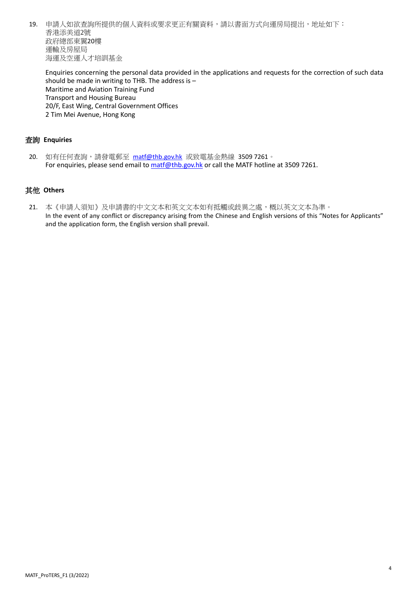19. 申請人如欲查詢所提供的個人資料或要求更正有關資料,請以書面方式向運房局提出,地址如下: 香港添美道2號 政府總部東翼20樓 運輸及房屋局 海運及空運人才培訓基金

Enquiries concerning the personal data provided in the applications and requests for the correction of such data should be made in writing to THB. The address is – Maritime and Aviation Training Fund Transport and Housing Bureau 20/F, East Wing, Central Government Offices 2 Tim Mei Avenue, Hong Kong

#### 查詢 **Enquiries**

20. 如有任何查詢,請發電郵至 [matf@thb.gov.hk](mailto:matf@thb.gov.hk) 或致電基金熱線 3509 7261。 For enquiries, please send email t[o matf@thb.gov.hk](mailto:matf@thb.gov.hk) or call the MATF hotline at 3509 7261.

#### 其他 **Others**

21. 本《申請人須知》及申請書的中文文本和英文文本如有抵觸或歧異之處,概以英文文本為準。 In the event of any conflict or discrepancy arising from the Chinese and English versions of this "Notes for Applicants" and the application form, the English version shall prevail.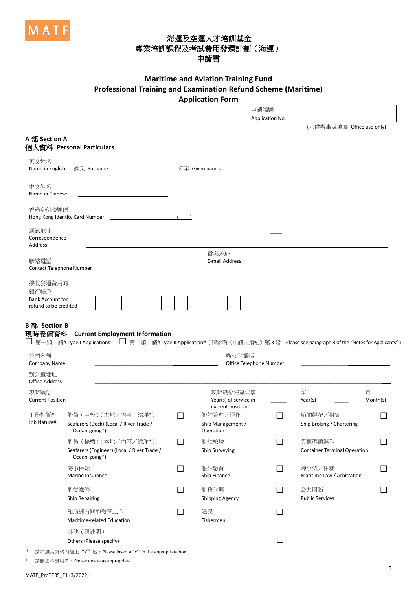

## 海運及空運人才培訓基金 專業培訓課程及考試費用發還計劃(海運) 申請書

#### **Maritime and Aviation Training Fund Professional Training and Examination Refund Scheme (Maritime) Application Form** 。<br>中華館頭

|                                                  |                                                                                     |  |  |  |  |  |  |              |                        |                 |                        |                                                       |        | 中萌編號                                          | Application No.         |                                      |               |
|--------------------------------------------------|-------------------------------------------------------------------------------------|--|--|--|--|--|--|--------------|------------------------|-----------------|------------------------|-------------------------------------------------------|--------|-----------------------------------------------|-------------------------|--------------------------------------|---------------|
|                                                  |                                                                                     |  |  |  |  |  |  |              |                        |                 |                        |                                                       |        |                                               |                         | (只供辦事處填寫 Office use only)            |               |
| A 部 Section A                                    | 個人資料 Personal Particulars                                                           |  |  |  |  |  |  |              |                        |                 |                        |                                                       |        |                                               |                         |                                      |               |
| 英文姓名<br>Name in English                          | 姓氏 Surname                                                                          |  |  |  |  |  |  |              |                        | 名字 Given names  |                        |                                                       |        |                                               |                         |                                      |               |
| 中文姓名<br>Name in Chinese                          |                                                                                     |  |  |  |  |  |  |              |                        |                 |                        |                                                       |        |                                               |                         |                                      |               |
| 香港身份證號碼<br>Hong Kong Identity Card Number        |                                                                                     |  |  |  |  |  |  |              |                        |                 |                        |                                                       |        |                                               |                         |                                      |               |
| 通訊地址<br>Correspondence<br>Address                |                                                                                     |  |  |  |  |  |  |              |                        |                 |                        |                                                       |        |                                               |                         |                                      |               |
|                                                  |                                                                                     |  |  |  |  |  |  |              |                        | 電郵地址            |                        |                                                       |        |                                               |                         |                                      |               |
| 聯絡電話<br>Contact Telephone Number                 |                                                                                     |  |  |  |  |  |  |              |                        |                 | E-mail Address         |                                                       |        |                                               |                         |                                      |               |
| 接收發還費用的<br>銀行帳戶                                  |                                                                                     |  |  |  |  |  |  |              |                        |                 |                        |                                                       |        |                                               |                         |                                      |               |
| <b>Bank Account for</b><br>refund to be credited |                                                                                     |  |  |  |  |  |  |              |                        |                 |                        |                                                       |        |                                               |                         |                                      |               |
| 公司名稱<br><b>Company Name</b>                      |                                                                                     |  |  |  |  |  |  |              |                        |                 |                        | 辦公室電話                                                 |        |                                               | Office Telephone Number |                                      |               |
| 辦公室地址<br><b>Office Address</b>                   |                                                                                     |  |  |  |  |  |  |              |                        |                 |                        |                                                       |        |                                               |                         |                                      |               |
| 現時職位<br><b>Current Position</b>                  |                                                                                     |  |  |  |  |  |  |              |                        |                 |                        | 現時職位任職年數<br>Year(s) of service in<br>current position |        |                                               |                         | 年<br>Year(s)                         | 月<br>Month(s) |
| 工作性質#<br>Job Nature#                             | 船員 (甲板) (本地/内河/遠洋*)<br>Seafarers (Deck) (Local / River Trade /<br>Ocean-going*)     |  |  |  |  |  |  | $\Box$       |                        | Operation       | 船舶管理/運作                | Ship Management /                                     |        |                                               |                         | 船舶經紀/租賃<br>Ship Broking / Chartering |               |
|                                                  | 船員 (輪機) (本地/內河/遠洋*)<br>Seafarers (Engineer) (Local / River Trade /<br>Ocean-going*) |  |  |  |  |  |  | $\mathsf{L}$ | 船舶檢驗<br>Ship Surveying |                 |                        |                                                       | $\Box$ | 貨櫃碼頭運作<br><b>Container Terminal Operation</b> |                         |                                      |               |
|                                                  | 海事保險<br>Marine Insurance                                                            |  |  |  |  |  |  | $\Box$       | 船舶融資<br>Ship Finance   |                 |                        |                                                       | $\Box$ | 海事法/仲裁<br>Maritime Law / Arbitration          |                         |                                      |               |
|                                                  | 船隻維修<br><b>Ship Repairing</b>                                                       |  |  |  |  |  |  | $\mathsf{L}$ |                        | 船務代理            | <b>Shipping Agency</b> |                                                       |        |                                               |                         | 公共服務<br><b>Public Services</b>       |               |
|                                                  | 和海運有關的教育工作<br>Maritime-related Education                                            |  |  |  |  |  |  | П            |                        | 漁民<br>Fishermen |                        |                                                       |        |                                               |                         |                                      |               |
|                                                  | 其他 (請註明)<br>Others (Please specify)                                                 |  |  |  |  |  |  |              |                        |                 |                        |                                                       |        |                                               |                         |                                      |               |

# 請在適當方格內加上"√"號。Please insert a "√" in the appropriate box.

請刪去不適用者。Please delete as appropriate.

 $\overline{\phantom{a}}$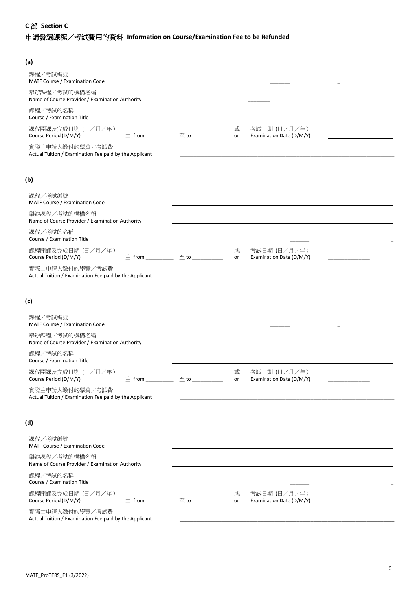#### **C** 部 **Section C**

# 申請發還課程/考試費用的資料 **Information on Course/Examination Fee to be Refunded**

| (a)                                                                       |                                           |         |                                          |  |
|---------------------------------------------------------------------------|-------------------------------------------|---------|------------------------------------------|--|
| 課程/考試編號<br>MATF Course / Examination Code                                 |                                           |         |                                          |  |
| 舉辦課程/考試的機構名稱<br>Name of Course Provider / Examination Authority           |                                           |         |                                          |  |
| 課程/考試的名稱<br>Course / Examination Title                                    |                                           |         |                                          |  |
| 課程開課及完成日期 (日/月/年)<br>Course Period (D/M/Y)                                |                                           | 或<br>or | 考試日期 (日/月/年)<br>Examination Date (D/M/Y) |  |
| 實際由申請人繳付的學費/考試費<br>Actual Tuition / Examination Fee paid by the Applicant |                                           |         |                                          |  |
| (b)                                                                       |                                           |         |                                          |  |
| 課程/考試編號<br>MATF Course / Examination Code                                 |                                           |         |                                          |  |
| 舉辦課程/考試的機構名稱<br>Name of Course Provider / Examination Authority           |                                           |         |                                          |  |
| 課程/考試的名稱<br>Course / Examination Title                                    |                                           |         |                                          |  |
| 課程開課及完成日期 (日/月/年)<br>Course Period (D/M/Y)<br>$\pm$ from                  | $\Xi$ to $\qquad \qquad$                  | 或<br>or | 考試日期 (日/月/年)<br>Examination Date (D/M/Y) |  |
| 實際由申請人繳付的學費/考試費<br>Actual Tuition / Examination Fee paid by the Applicant |                                           |         |                                          |  |
| (c)                                                                       |                                           |         |                                          |  |
| 課程/考試編號<br>MATF Course / Examination Code                                 |                                           |         |                                          |  |
| 舉辦課程/考試的機構名稱<br>Name of Course Provider / Examination Authority           |                                           |         |                                          |  |
| 課程/考試的名稱<br>Course / Examination Title                                    |                                           |         |                                          |  |
| 課程開課及完成日期 (日/月/年)<br>Course Period (D/M/Y)                                |                                           | 或<br>or | 考試日期 (日/月/年)<br>Examination Date (D/M/Y) |  |
| 實際由申請人繳付的學費/考試費<br>Actual Tuition / Examination Fee paid by the Applicant |                                           |         |                                          |  |
| (d)                                                                       |                                           |         |                                          |  |
| 課程/考試編號<br>MATF Course / Examination Code                                 |                                           |         |                                          |  |
| 舉辦課程/考試的機構名稱<br>Name of Course Provider / Examination Authority           |                                           |         |                                          |  |
| 課程/考試的名稱<br>Course / Examination Title                                    |                                           |         |                                          |  |
| 課程開課及完成日期 (日/月/年)<br>Course Period (D/M/Y)                                | 由 from _______________ 至 to _____________ | 或<br>or | 考試日期 (日/月/年)<br>Examination Date (D/M/Y) |  |
|                                                                           |                                           |         |                                          |  |

實際由申請人繳付的學費/考試費 Actual Tuition / Examination Fee paid by the Applicant \_\_\_\_\_\_\_\_\_\_\_\_\_\_\_\_\_\_\_\_\_\_\_\_\_\_\_\_\_\_\_\_\_\_\_\_\_\_\_\_\_\_\_\_\_\_\_\_\_\_\_\_\_\_\_\_\_\_\_\_\_\_\_\_\_\_\_\_\_\_\_\_\_\_\_\_\_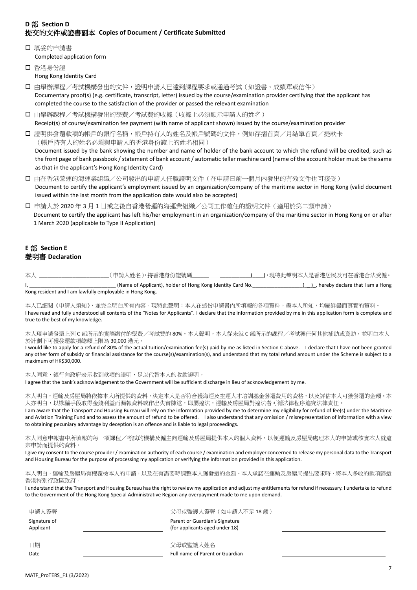### **D** 部 **Section D** 提交的文件或證書副本 **Copies of Document / Certificate Submitted**

- □ 填妥的申請書 Completed application form
- □ 香港身份證 Hong Kong Identity Card
- □ 由舉辦課程/考試機構發出的文件,證明申請人已達到課程要求或通過考試(如證書、成績單或信件) Documentary proof(s) (e.g. certificate, transcript, letter) issued by the course/examination provider certifying that the applicant has completed the course to the satisfaction of the provider or passed the relevant examination
- □ 由舉辦課程/考試機構發出的學費/考試費的收據(收據上必須顯示申請人的姓名) Receipt(s) of course/examination fee payment (with name of applicant shown) issued by the course/examination provider
- □ 證明供發還款項的帳戶的銀行名稱,帳戶持有人的姓名及帳戶號碼的文件,例如存摺首頁/月結單首頁/提款卡 (帳戶持有人的姓名必須與申請人的香港身份證上的姓名相同) Document issued by the bank showing the number and name of holder of the bank account to which the refund will be credited, such as the front page of bank passbook / statement of bank account / automatic teller machine card (name of the account holder must be the same as that in the applicant's Hong Kong Identity Card)
- 由在香港營運的海運業組織/公司發出的申請人任職證明文件(在申請日前一個月內發出的有效文件也可接受) Document to certify the applicant's employment issued by an organization/company of the maritime sector in Hong Kong (valid document issued within the last month from the application date would also be accepted)
- 申請人於 2020 年 3 月 1 日或之後自香港營運的海運業組織/公司工作離任的證明文件(適用於第二類申請) Document to certify the applicant has left his/her employment in an organization/company of the maritime sector in Hong Kong on or after 1 March 2020 (applicable to Type II Application)

#### **E** 部 **Section E** 聲明書 **Declaration**

| 太丿 | (申請人姓名),持香港身份證號碼                                           | 」,現特此聲明本人是香港居民及可在香港合法受僱。          |
|----|------------------------------------------------------------|-----------------------------------|
|    | (Name of Applicant), holder of Hong Kong Identity Card No. | , hereby declare that I am a Hong |
|    | Kong resident and I am lawfully employable in Hong Kong.   |                                   |

本人已細閱《申請人須知》,並完全明白所有內容。現特此聲明:本人在這份申請書內所填報的各項資料,盡本人所知,均屬詳盡而真實的資料。 I have read and fully understood all contents of the "Notes for Applicants"*.* I declare that the information provided by me in this application form is complete and true to the best of my knowledge.

本人現申請發還上列 C 部所示的實際繳付的學費/考試費的 80%。本人聲明,本人從未就 C 部所示的課程/考試獲任何其他補助或資助,並明白本人 於計劃下可獲發還款項總額上限為 30,000 港元。

I would like to apply for a refund of 80% of the actual tuition/examination fee(s) paid by me as listed in Section C above. I declare that I have not been granted any other form of subsidy or financial assistance for the course(s)/examination(s), and understand that my total refund amount under the Scheme is subject to a maximum of HK\$30,000.

本人同意,銀行向政府表示收到款項的證明,足以代替本人的收款證明。

I agree that the bank's acknowledgement to the Government will be sufficient discharge in lieu of acknowledgement by me.

本人明白,運輸及房屋局將依據本人所提供的資料,決定本人是否符合獲海運及空運人才培訓基金發還費用的資格,以及評估本人可獲發還的金額。本 人亦明白,以欺騙手段取得金錢利益而漏報資料或作出失實陳述,即屬違法,運輸及房屋局對違法者可循法律程序追究法律責任。 I am aware that the Transport and Housing Bureau will rely on the information provided by me to determine my eligibility for refund of fee(s) under the Maritime

and Aviation Training Fund and to assess the amount of refund to be offered. I also understand that any omission / misrepresentation of information with a view to obtaining pecuniary advantage by deception is an offence and is liable to legal proceedings.

本人同意申報書中所填報的每一項課程/考試的機構及僱主向運輸及房屋局提供本人的個人資料,以便運輸及房屋局處理本人的申請或核實本人就這 宗申請而提供的資料。

I give my consent to the course provider / examination authority of each course / examination and employer concerned to release my personal data to the Transport and Housing Bureau for the purpose of processing my application or verifying the information provided in this application.

本人明白,運輸及房屋局有權覆檢本人的申請,以及在有需要時調整本人獲發還的金額。本人承諾在運輸及房屋局提出要求時,將本人多收的款項歸還 香港特別行政區政府。

I understand that the Transport and Housing Bureau has the right to review my application and adjust my entitlements for refund if necessary. I undertake to refund to the Government of the Hong Kong Special Administrative Region any overpayment made to me upon demand.

| 申請人簽署                     | 父母或監護人簽署(如申請人不足 18 歳)                                            |
|---------------------------|------------------------------------------------------------------|
| Signature of<br>Applicant | Parent or Guardian's Signature<br>(for applicants aged under 18) |
| 日期                        | 父母或監護人姓名                                                         |
| Date                      | Full name of Parent or Guardian                                  |